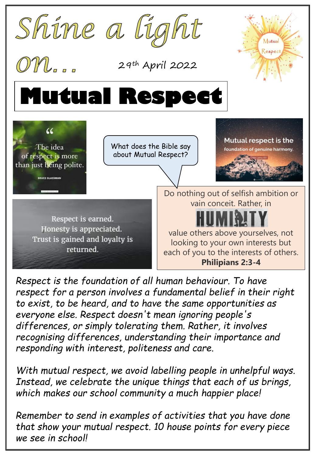

*Respect is the foundation of all human behaviour. To have respect for a person involves a fundamental belief in their right to exist, to be heard, and to have the same opportunities as everyone else. Respect doesn't mean ignoring people's differences, or simply tolerating them. Rather, it involves recognising differences, understanding their importance and responding with interest, politeness and care.*

*With mutual respect, we avoid labelling people in unhelpful ways. Instead, we celebrate the unique things that each of us brings, which makes our school community a much happier place!* 

*Remember to send in examples of activities that you have done that show your mutual respect. 10 house points for every piece we see in school!*